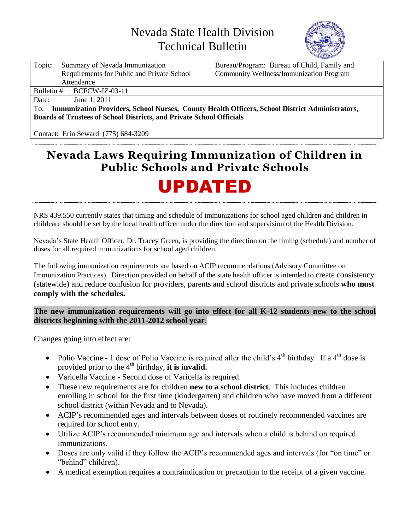## Nevada State Health Division Technical Bulletin



| Topic:                                                                                                | Summary of Nevada Immunization             | Bureau/Program: Bureau of Child, Family and    |  |  |  |  |  |  |
|-------------------------------------------------------------------------------------------------------|--------------------------------------------|------------------------------------------------|--|--|--|--|--|--|
|                                                                                                       | Requirements for Public and Private School | <b>Community Wellness/Immunization Program</b> |  |  |  |  |  |  |
| Attendance                                                                                            |                                            |                                                |  |  |  |  |  |  |
|                                                                                                       | Bulletin #: $BCFCW-IZ-03-11$               |                                                |  |  |  |  |  |  |
| Date:                                                                                                 | June 1, 2011                               |                                                |  |  |  |  |  |  |
| Immunization Providers, School Nurses, County Health Officers, School District Administrators,<br>To: |                                            |                                                |  |  |  |  |  |  |
| <b>Boards of Trustees of School Districts, and Private School Officials</b>                           |                                            |                                                |  |  |  |  |  |  |
|                                                                                                       |                                            |                                                |  |  |  |  |  |  |

Contact: Erin Seward (775) 684-3209

### **Nevada Laws Requiring Immunization of Children in Public Schools and Private Schools**

# UPDATED

NRS 439.550 currently states that timing and schedule of immunizations for school aged children and children in childcare should be set by the local health officer under the direction and supervision of the Health Division.

 Nevada's State Health Officer, Dr. Tracey Green, is providing the direction on the timing (schedule) and number of doses for all required immunizations for school aged children.

 Immunization Practices). Direction provided on behalf of the state health officer is intended to create consistency (statewide) and reduce confusion for providers, parents and school districts and private schools **who must**  comply with the schedules. The following immunization requirements are based on ACIP recommendations (Advisory Committee on

## comply with the schedules.<br>The new immunization requirements will go into effect for all K-12 students new to the school  **districts beginning with the 2011-2012 school year.**

Changes going into effect are:

- Polio Vaccine 1 dose of Polio Vaccine is required after the child's  $4<sup>th</sup>$  birthday. If a  $4<sup>th</sup>$  dose is provided prior to the  $4<sup>th</sup>$  birthday, it is invalid.
- Varicella Vaccine Second dose of Varicella is required.
- These new requirements are for children **new to a school district**. This includes children enrolling in school for the first time (kindergarten) and children who have moved from a different school district (within Nevada and to Nevada).
- ACIP's recommended ages and intervals between doses of routinely recommended vaccines are required for school entry.
- Utilize ACIP's recommended minimum age and intervals when a child is behind on required immunizations.
- Doses are only valid if they follow the ACIP's recommended ages and intervals (for "on time" or "behind" children).
- A medical exemption requires a contraindication or precaution to the receipt of a given vaccine.